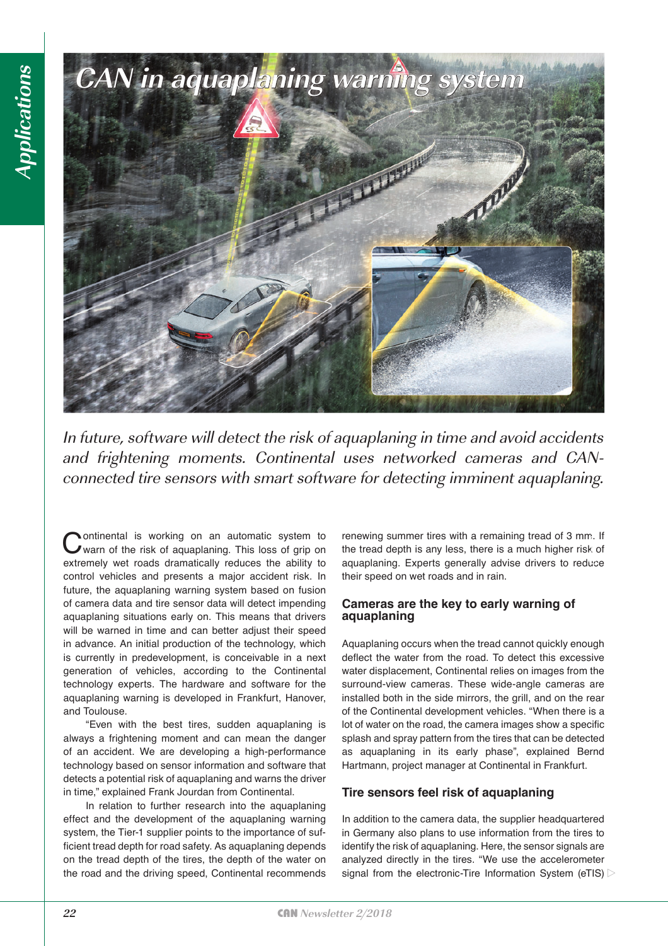

In future, software will detect the risk of aquaplaning in time and avoid accidents and frightening moments. Continental uses networked cameras and CANconnected tire sensors with smart software for detecting imminent aquaplaning.

Continental is working on an automatic system to warn of the risk of aquaplaning. This loss of grip on extremely wet roads dramatically reduces the ability to control vehicles and presents a major accident risk. In future, the aquaplaning warning system based on fusion of camera data and tire sensor data will detect impending aquaplaning situations early on. This means that drivers will be warned in time and can better adjust their speed in advance. An initial production of the technology, which is currently in predevelopment, is conceivable in a next generation of vehicles, according to the Continental technology experts. The hardware and software for the aquaplaning warning is developed in Frankfurt, Hanover, and Toulouse.

"Even with the best tires, sudden aquaplaning is always a frightening moment and can mean the danger of an accident. We are developing a high-performance technology based on sensor information and software that detects a potential risk of aquaplaning and warns the driver in time," explained Frank Jourdan from Continental.

In relation to further research into the aquaplaning effect and the development of the aquaplaning warning system, the Tier-1 supplier points to the importance of sufficient tread depth for road safety. As aquaplaning depends on the tread depth of the tires, the depth of the water on the road and the driving speed, Continental recommends renewing summer tires with a remaining tread of 3 mm. If the tread depth is any less, there is a much higher risk of aquaplaning. Experts generally advise drivers to reduce their speed on wet roads and in rain.

## **Cameras are the key to early warning of aquaplaning**

Aquaplaning occurs when the tread cannot quickly enough deflect the water from the road. To detect this excessive water displacement, Continental relies on images from the surround-view cameras. These wide-angle cameras are installed both in the side mirrors, the grill, and on the rear of the Continental development vehicles. "When there is a lot of water on the road, the camera images show a specific splash and spray pattern from the tires that can be detected as aquaplaning in its early phase", explained Bernd Hartmann, project manager at Continental in Frankfurt. **EVALUAT FROM THE EXECT INTERT SYSTEM**<br>
From the tread depth is any less, there is a much higher risk of<br>
aquaplaning. Experts generally advise drivers to reduce<br>
their speed on wet roads and in rain.<br> **Cameras are the key** 

## **Tire sensors feel risk of aquaplaning**

In addition to the camera data, the supplier headquartered in Germany also plans to use information from the tires to identify the risk of aquaplaning. Here, the sensor signals are analyzed directly in the tires. "We use the accelerometer